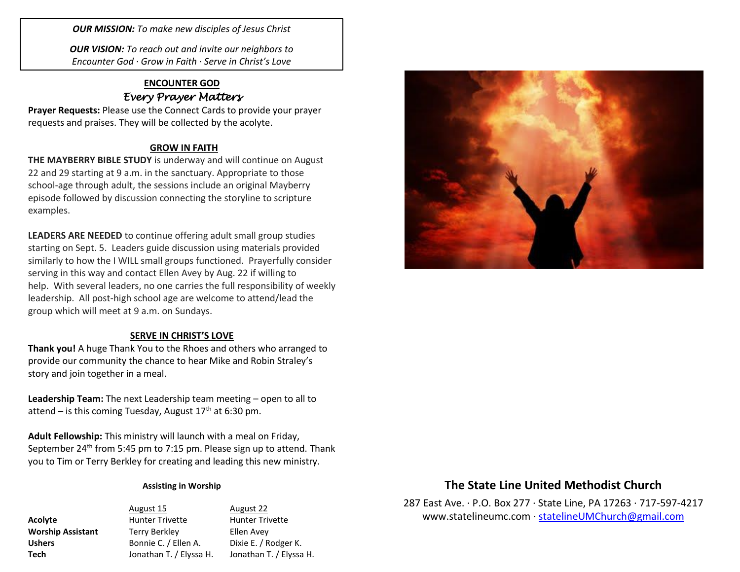*OUR MISSION: To make new disciples of Jesus Christ*

*OUR VISION: To reach out and invite our neighbors to Encounter God · Grow in Faith · Serve in Christ's Love*

## **ENCOUNTER GOD** *Every Prayer Matters*

**Prayer Requests:** Please use the Connect Cards to provide your prayer requests and praises. They will be collected by the acolyte.

### **GROW IN FAITH**

**THE MAYBERRY BIBLE STUDY** is underway and will continue on August 22 and 29 starting at 9 a.m. in the sanctuary. Appropriate to those school-age through adult, the sessions include an original Mayberry episode followed by discussion connecting the storyline to scripture examples.

**LEADERS ARE NEEDED** to continue offering adult small group studies starting on Sept. 5. Leaders guide discussion using materials provided similarly to how the I WILL small groups functioned. Prayerfully consider serving in this way and contact Ellen Avey by Aug. 22 if willing to help. With several leaders, no one carries the full responsibility of weekly leadership. All post-high school age are welcome to attend/lead the group which will meet at 9 a.m. on Sundays.

### **SERVE IN CHRIST'S LOVE**

**Thank you!** A huge Thank You to the Rhoes and others who arranged to provide our community the chance to hear Mike and Robin Straley's story and join together in a meal.

**Leadership Team:** The next Leadership team meeting – open to all to attend – is this coming Tuesday, August  $17<sup>th</sup>$  at 6:30 pm.

**Adult Fellowship:** This ministry will launch with a meal on Friday, September 24<sup>th</sup> from 5:45 pm to 7:15 pm. Please sign up to attend. Thank you to Tim or Terry Berkley for creating and leading this new ministry.

#### **Assisting in Worship**

August 15 August 22 Acolyte **Acolyte** Hunter Trivette Hunter Trivette **Worship Assistant** Terry Berkley **Ellen Avey** Ushers Bonnie C. / Ellen A. Dixie E. / Rodger K. **Tech** Jonathan T. / Elyssa H. Jonathan T. / Elyssa H.



# **The State Line United Methodist Church**

287 East Ave. · P.O. Box 277 · State Line, PA 17263 · 717-597-4217 [www.statelineumc.com](http://www.statelineumc.com/) · [statelineUMChurch@gmail.com](mailto:statelineUMChurch@gmail.com)